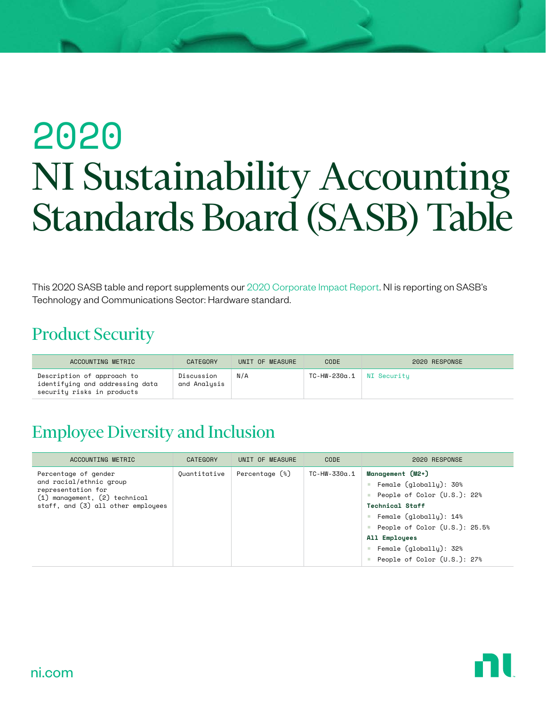# 2020 NI Sustainability Accounting Standards Board (SASB) Table

This 2020 SASB table and report supplements our [2020 Corporate Impact Report.](https://www.ni.com/en-us/about-ni/corporate-impact/reporting-and-governance.html) NI is reporting on SASB's Technology and Communications Sector: Hardware standard.

#### Product Security

| ACCOUNTING METRIC                                                                           | CATEGORY                   | UNIT OF MEASURE | <b>CODE</b>              | 2020 RESPONSE |
|---------------------------------------------------------------------------------------------|----------------------------|-----------------|--------------------------|---------------|
| Description of approach to<br>identifying and addressing data<br>security risks in products | Discussion<br>and Analysis | N/A             | TC-HW-230a.1 NI Security |               |

#### Employee Diversity and Inclusion

| ACCOUNTING METRIC                                                                                                                            | <b>CATEGORY</b> | UNIT OF MEASURE  | CODE         | 2020 RESPONSE                                                                                                                                                                                                                                                                                        |
|----------------------------------------------------------------------------------------------------------------------------------------------|-----------------|------------------|--------------|------------------------------------------------------------------------------------------------------------------------------------------------------------------------------------------------------------------------------------------------------------------------------------------------------|
| Percentage of gender<br>and racial/ethnic group<br>representation for<br>(1) management, (2) technical<br>staff, and (3) all other employees | Quantitative    | Percentage $(*)$ | TC-HW-330α.1 | Management (M2+)<br>Female $($ global $l$ $u$ ): 30%<br><b>COLLEGE</b><br>People of Color $(U.S.): 22\%$<br><b>Technical Staff</b><br>Female (qlobally): 14%<br><b>COL</b><br>People of Color $(U.S.): 25.5%$<br>All Employees<br>Female $($ global $l$ $u$ $)$ : 32%<br>People of Color (U.S.): 27% |

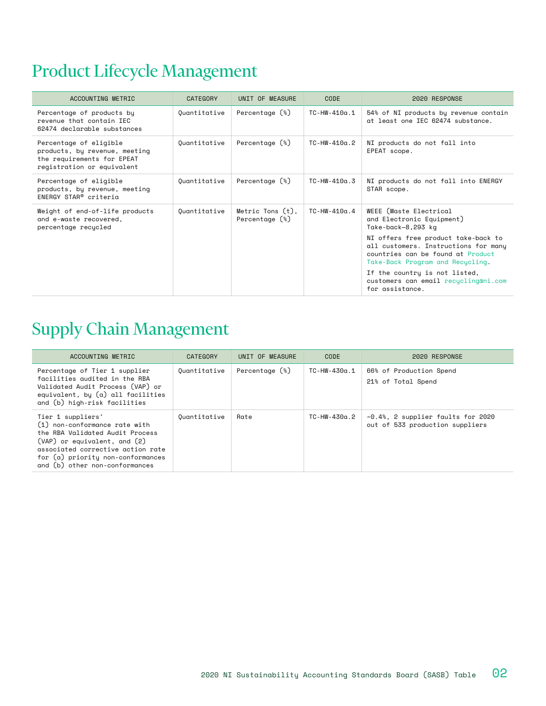### Product Lifecycle Management

| ACCOUNTING METRIC                                                                                                   | CATEGORY     | UNIT OF MEASURE                         | CODE                | 2020 RESPONSE                                                                                                                                                                                                                                                                                                                 |
|---------------------------------------------------------------------------------------------------------------------|--------------|-----------------------------------------|---------------------|-------------------------------------------------------------------------------------------------------------------------------------------------------------------------------------------------------------------------------------------------------------------------------------------------------------------------------|
| Percentage of products by<br>revenue that contain IEC<br>62474 declarable substances                                | Quantitative | Percentage (%)                          | TC-HW-410a.1        | 54% of NI products by revenue contain<br>at least one IEC 62474 substance.                                                                                                                                                                                                                                                    |
| Percentage of eligible<br>products, by revenue, meeting<br>the requirements for EPEAT<br>registration or equivalent | Quantitative | Percentage $(*)$                        | $TC-HW-410\alpha.2$ | NI products do not fall into<br>EPEAT scope.                                                                                                                                                                                                                                                                                  |
| Percentage of eligible<br>products, by revenue, meeting<br>ENERGY STAR® criteria                                    | Ouantitative | Percentage $(*)$                        | $TC-HW-410a$ .3     | NI products do not fall into ENERGY<br>STAR scope.                                                                                                                                                                                                                                                                            |
| Weight of end-of-life products<br>and e-waste recovered,<br>percentage recycled                                     | Quantitative | Metric Tons $(t)$ ,<br>Percentage $(*)$ | $TC-HW-410\alpha.4$ | WEEE (Waste Electrical<br>and Electronic Equipment)<br>Take-back-8,293 kg<br>NI offers free product take-back to<br>all customers. Instructions for many<br>countries can be found at Product<br>Take-Back Program and Recycling.<br>If the country is not listed,<br>customers can email recuclingani.com<br>for assistance. |

#### Supply Chain Management

| ACCOUNTING METRIC                                                                                                                                                                                                                     | CATEGORY     | UNIT OF MEASURE | CODE         | 2020 RESPONSE                                                               |
|---------------------------------------------------------------------------------------------------------------------------------------------------------------------------------------------------------------------------------------|--------------|-----------------|--------------|-----------------------------------------------------------------------------|
| Percentage of Tier 1 supplier<br>facilities audited in the RBA<br>Validated Audit Process (VAP) or<br>equivalent, by $(a)$ all facilities<br>and (b) high-risk facilities                                                             | Ouantitative | Percentage (%)  | TC-HW-430α.1 | 66% of Production Spend<br>21% of Total Spend                               |
| Tier 1 suppliers'<br>(1) non-conformance rate with<br>the RBA Validated Audit Process<br>$(VAP)$ or equivalent, and $(2)$<br>associated corrective action rate<br>for (a) priority non-conformances<br>and (b) other non-conformances | Quantitative | Rate            | TC-HW-430α.2 | $\sim 0.4$ %, 2 supplier faults for 2020<br>out of 533 production suppliers |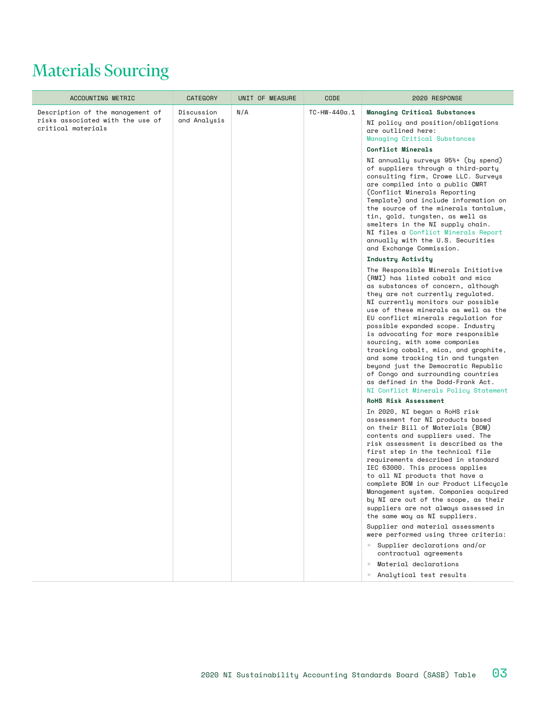# Materials Sourcing

| ACCOUNTING METRIC                                                                          | <b>CATEGORY</b>            | UNIT OF MEASURE | CODE                | 2020 RESPONSE                                                                                                                                                                                                                                                                                                                                                                                                                                                                                                                                                                                                                |
|--------------------------------------------------------------------------------------------|----------------------------|-----------------|---------------------|------------------------------------------------------------------------------------------------------------------------------------------------------------------------------------------------------------------------------------------------------------------------------------------------------------------------------------------------------------------------------------------------------------------------------------------------------------------------------------------------------------------------------------------------------------------------------------------------------------------------------|
| Description of the management of<br>risks associated with the use of<br>critical materials | Discussion<br>and Analysis | N/A             | $TC-HW-440\alpha.1$ | <b>Managing Critical Substances</b><br>NI policy and position/obligations<br>are outlined here:<br>Managing Critical Substances<br>Conflict Minerals                                                                                                                                                                                                                                                                                                                                                                                                                                                                         |
|                                                                                            |                            |                 |                     | NI annually surveys 95%+ (by spend)<br>of suppliers through a third-party<br>consulting firm, Crowe LLC. Surveys<br>are compiled into a public CMRT<br>(Conflict Minerals Reporting<br>Template) and include information on<br>the source of the minerals tantalum,<br>tin, gold, tungsten, as well as<br>smelters in the NI supply chain.<br>NI files a Conflict Minerals Report<br>annually with the U.S. Securities<br>and Exchange Commission.                                                                                                                                                                           |
|                                                                                            |                            |                 |                     | Industry Activity                                                                                                                                                                                                                                                                                                                                                                                                                                                                                                                                                                                                            |
|                                                                                            |                            |                 |                     | The Responsible Minerals Initiative<br>(RMI) has listed cobalt and mica<br>as substances of concern, although<br>they are not currently regulated.<br>NI currently monitors our possible<br>use of these minerals as well as the<br>EU conflict minerals requlation for<br>possible expanded scope. Industry<br>is advocating for more responsible<br>sourcing, with some companies<br>tracking cobalt, mica, and graphite,<br>and some tracking tin and tungsten<br>beyond just the Democratic Republic<br>of Congo and surrounding countries<br>as defined in the Dodd-Frank Act.<br>NI Conflict Minerals Policy Statement |
|                                                                                            |                            |                 |                     | RoHS Risk Assessment                                                                                                                                                                                                                                                                                                                                                                                                                                                                                                                                                                                                         |
|                                                                                            |                            |                 |                     | In 2020, NI began a RoHS risk<br>assessment for NI products based<br>on their Bill of Materials (BOM)<br>contents and suppliers used. The<br>risk assessment is described as the<br>first step in the technical file<br>requirements described in standard<br>IEC 63000. This process applies<br>to all NI products that have a<br>complete BOM in our Product Lifecycle<br>Management system. Companies acquired<br>by NI are out of the scope, as their<br>suppliers are not always assessed in<br>the same way as NI suppliers.                                                                                           |
|                                                                                            |                            |                 |                     | Supplier and material assessments<br>were performed using three criteria:<br>Supplier declarations and/or                                                                                                                                                                                                                                                                                                                                                                                                                                                                                                                    |
|                                                                                            |                            |                 |                     | contractual agreements                                                                                                                                                                                                                                                                                                                                                                                                                                                                                                                                                                                                       |
|                                                                                            |                            |                 |                     | Material declarations<br>٠<br>Analytical test results<br>m.                                                                                                                                                                                                                                                                                                                                                                                                                                                                                                                                                                  |